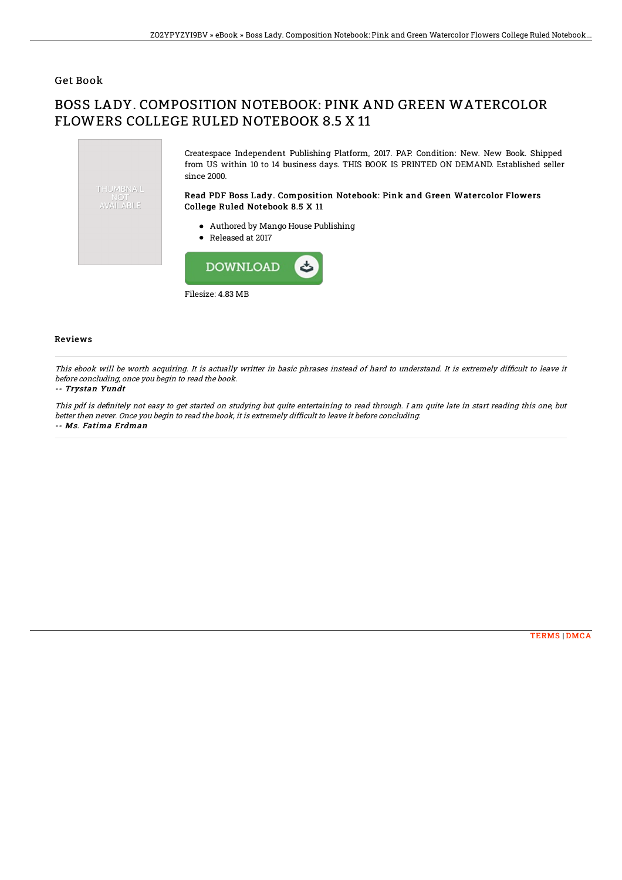### Get Book

# BOSS LADY. COMPOSITION NOTEBOOK: PINK AND GREEN WATERCOLOR FLOWERS COLLEGE RULED NOTEBOOK 8.5 X 11



Filesize: 4.83 MB

#### Reviews

This ebook will be worth acquiring. It is actually writter in basic phrases instead of hard to understand. It is extremely difficult to leave it before concluding, once you begin to read the book.

#### -- Trystan Yundt

This pdf is definitely not easy to get started on studying but quite entertaining to read through. I am quite late in start reading this one, but better then never. Once you begin to read the book, it is extremely difficult to leave it before concluding. -- Ms. Fatima Erdman